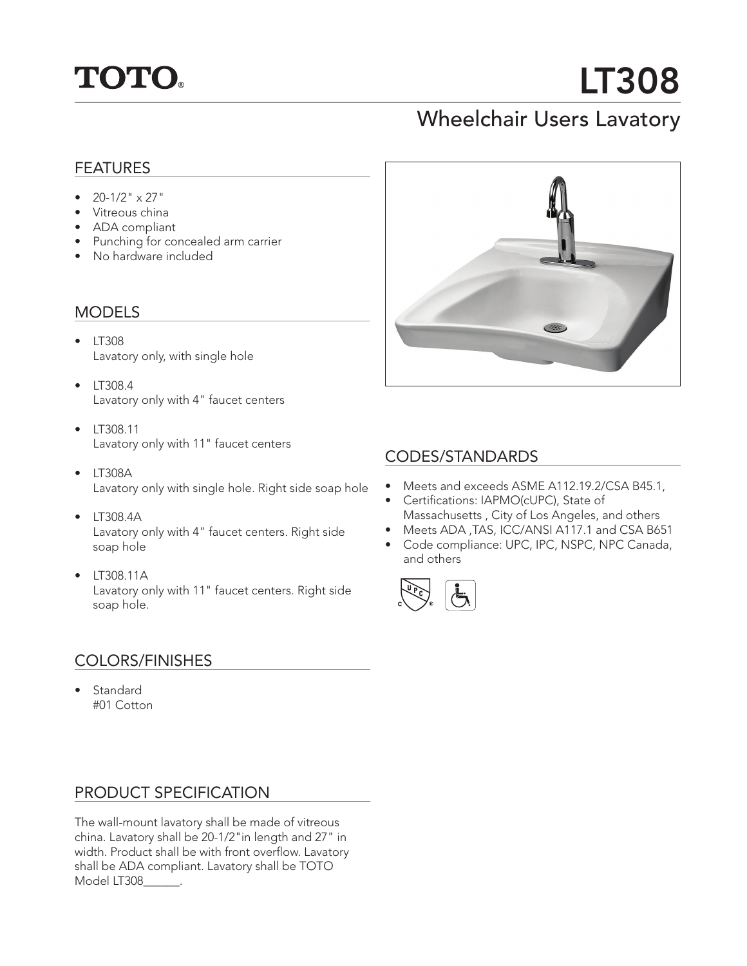

# LT308

# Wheelchair Users Lavatory

### FEATURES

- $20-1/2$ "  $\times 27$ "
- Vitreous china
- ADA compliant
- Punching for concealed arm carrier
- No hardware included

#### MODELS

- LT308 Lavatory only, with single hole
- LT308.4 Lavatory only with 4" faucet centers
- LT308.11 Lavatory only with 11" faucet centers
- LT308A Lavatory only with single hole. Right side soap hole
- LT308.4A Lavatory only with 4" faucet centers. Right side soap hole
- LT308.11A Lavatory only with 11" faucet centers. Right side soap hole.

#### COLORS/FINISHES

• Standard #01 Cotton

#### PRODUCT SPECIFICATION

The wall-mount lavatory shall be made of vitreous china. Lavatory shall be 20-1/2"in length and 27" in width. Product shall be with front overflow. Lavatory shall be ADA compliant. Lavatory shall be TOTO Model LT308\_\_\_\_\_\_.



#### CODES/STANDARDS

- Meets and exceeds ASME A112.19.2/CSA B45.1,
- Certifications: IAPMO(cUPC), State of Massachusetts , City of Los Angeles, and others
- Meets ADA ,TAS, ICC/ANSI A117.1 and CSA B651
- Code compliance: UPC, IPC, NSPC, NPC Canada, and others